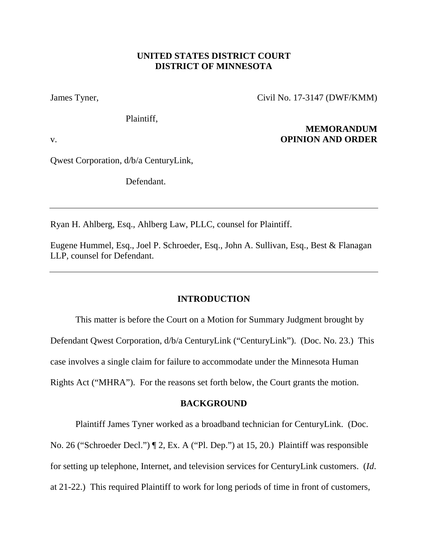# **UNITED STATES DISTRICT COURT DISTRICT OF MINNESOTA**

James Tyner, Civil No. 17-3147 (DWF/KMM)

Plaintiff,

**MEMORANDUM** v. **OPINION AND ORDER**

Qwest Corporation, d/b/a CenturyLink,

Defendant.

Ryan H. Ahlberg, Esq., Ahlberg Law, PLLC, counsel for Plaintiff.

Eugene Hummel, Esq., Joel P. Schroeder, Esq., John A. Sullivan, Esq., Best & Flanagan LLP, counsel for Defendant.

# **INTRODUCTION**

This matter is before the Court on a Motion for Summary Judgment brought by Defendant Qwest Corporation, d/b/a CenturyLink ("CenturyLink"). (Doc. No. 23.) This case involves a single claim for failure to accommodate under the Minnesota Human Rights Act ("MHRA"). For the reasons set forth below, the Court grants the motion.

## **BACKGROUND**

Plaintiff James Tyner worked as a broadband technician for CenturyLink. (Doc.

No. 26 ("Schroeder Decl.") ¶ 2, Ex. A ("Pl. Dep.") at 15, 20.) Plaintiff was responsible

for setting up telephone, Internet, and television services for CenturyLink customers. (*Id*.

at 21-22.) This required Plaintiff to work for long periods of time in front of customers,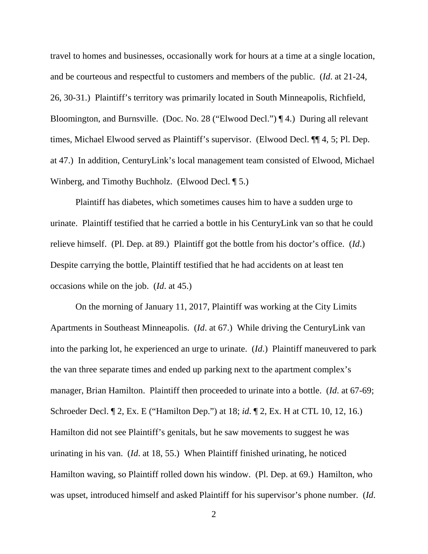travel to homes and businesses, occasionally work for hours at a time at a single location, and be courteous and respectful to customers and members of the public. (*Id*. at 21-24, 26, 30-31.) Plaintiff's territory was primarily located in South Minneapolis, Richfield, Bloomington, and Burnsville. (Doc. No. 28 ("Elwood Decl.") ¶ 4.) During all relevant times, Michael Elwood served as Plaintiff's supervisor. (Elwood Decl. ¶¶ 4, 5; Pl. Dep. at 47.) In addition, CenturyLink's local management team consisted of Elwood, Michael Winberg, and Timothy Buchholz. (Elwood Decl. ¶ 5.)

Plaintiff has diabetes, which sometimes causes him to have a sudden urge to urinate. Plaintiff testified that he carried a bottle in his CenturyLink van so that he could relieve himself. (Pl. Dep. at 89.) Plaintiff got the bottle from his doctor's office. (*Id*.) Despite carrying the bottle, Plaintiff testified that he had accidents on at least ten occasions while on the job. (*Id*. at 45.)

On the morning of January 11, 2017, Plaintiff was working at the City Limits Apartments in Southeast Minneapolis. (*Id*. at 67.) While driving the CenturyLink van into the parking lot, he experienced an urge to urinate. (*Id*.) Plaintiff maneuvered to park the van three separate times and ended up parking next to the apartment complex's manager, Brian Hamilton. Plaintiff then proceeded to urinate into a bottle. (*Id*. at 67-69; Schroeder Decl. ¶ 2, Ex. E ("Hamilton Dep.") at 18; *id*. ¶ 2, Ex. H at CTL 10, 12, 16.) Hamilton did not see Plaintiff's genitals, but he saw movements to suggest he was urinating in his van. (*Id*. at 18, 55.) When Plaintiff finished urinating, he noticed Hamilton waving, so Plaintiff rolled down his window. (Pl. Dep. at 69.) Hamilton, who was upset, introduced himself and asked Plaintiff for his supervisor's phone number. (*Id*.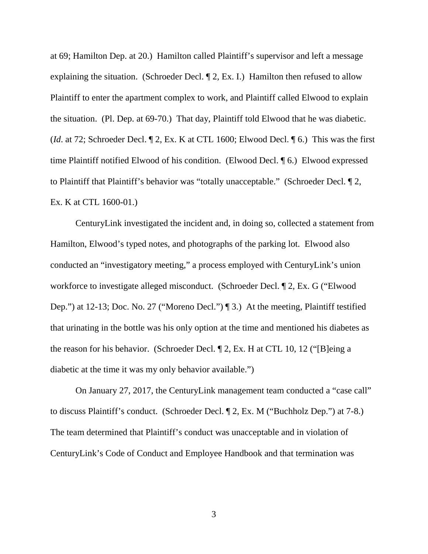at 69; Hamilton Dep. at 20.) Hamilton called Plaintiff's supervisor and left a message explaining the situation. (Schroeder Decl. ¶ 2, Ex. I.) Hamilton then refused to allow Plaintiff to enter the apartment complex to work, and Plaintiff called Elwood to explain the situation. (Pl. Dep. at 69-70.) That day, Plaintiff told Elwood that he was diabetic. (*Id*. at 72; Schroeder Decl. ¶ 2, Ex. K at CTL 1600; Elwood Decl. ¶ 6.) This was the first time Plaintiff notified Elwood of his condition. (Elwood Decl. ¶ 6.) Elwood expressed to Plaintiff that Plaintiff's behavior was "totally unacceptable." (Schroeder Decl. ¶ 2, Ex. K at CTL 1600-01.)

CenturyLink investigated the incident and, in doing so, collected a statement from Hamilton, Elwood's typed notes, and photographs of the parking lot. Elwood also conducted an "investigatory meeting," a process employed with CenturyLink's union workforce to investigate alleged misconduct. (Schroeder Decl. ¶ 2, Ex. G ("Elwood Dep.") at 12-13; Doc. No. 27 ("Moreno Decl.") ¶ 3.) At the meeting, Plaintiff testified that urinating in the bottle was his only option at the time and mentioned his diabetes as the reason for his behavior. (Schroeder Decl. ¶ 2, Ex. H at CTL 10, 12 ("[B]eing a diabetic at the time it was my only behavior available.")

On January 27, 2017, the CenturyLink management team conducted a "case call" to discuss Plaintiff's conduct. (Schroeder Decl. ¶ 2, Ex. M ("Buchholz Dep.") at 7-8.) The team determined that Plaintiff's conduct was unacceptable and in violation of CenturyLink's Code of Conduct and Employee Handbook and that termination was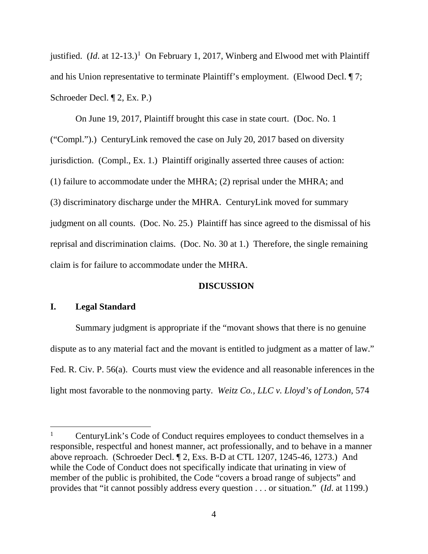justified. (*Id.* at 12-13.)<sup>1</sup> On February 1, 2017, Winberg and Elwood met with Plaintiff and his Union representative to terminate Plaintiff's employment. (Elwood Decl. ¶ 7; Schroeder Decl. ¶ 2, Ex. P.)

On June 19, 2017, Plaintiff brought this case in state court. (Doc. No. 1 ("Compl.").) CenturyLink removed the case on July 20, 2017 based on diversity jurisdiction. (Compl., Ex. 1.) Plaintiff originally asserted three causes of action: (1) failure to accommodate under the MHRA; (2) reprisal under the MHRA; and (3) discriminatory discharge under the MHRA. CenturyLink moved for summary judgment on all counts. (Doc. No. 25.) Plaintiff has since agreed to the dismissal of his reprisal and discrimination claims. (Doc. No. 30 at 1.) Therefore, the single remaining claim is for failure to accommodate under the MHRA.

# **DISCUSSION**

# **I. Legal Standard**

Summary judgment is appropriate if the "movant shows that there is no genuine dispute as to any material fact and the movant is entitled to judgment as a matter of law." Fed. R. Civ. P. 56(a). Courts must view the evidence and all reasonable inferences in the light most favorable to the nonmoving party. *Weitz Co., LLC v. Lloyd's of London*, 574

<sup>&</sup>lt;sup>1</sup> CenturyLink's Code of Conduct requires employees to conduct themselves in a responsible, respectful and honest manner, act professionally, and to behave in a manner above reproach. (Schroeder Decl. ¶ 2, Exs. B-D at CTL 1207, 1245-46, 1273.) And while the Code of Conduct does not specifically indicate that urinating in view of member of the public is prohibited, the Code "covers a broad range of subjects" and provides that "it cannot possibly address every question . . . or situation." (*Id*. at 1199.)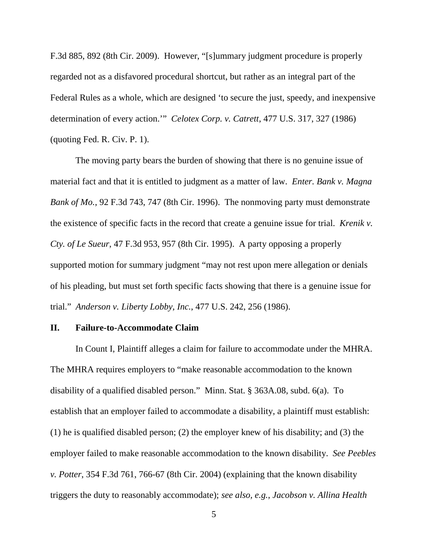F.3d 885, 892 (8th Cir. 2009). However, "[s]ummary judgment procedure is properly regarded not as a disfavored procedural shortcut, but rather as an integral part of the Federal Rules as a whole, which are designed 'to secure the just, speedy, and inexpensive determination of every action.'" *Celotex Corp. v. Catrett*, 477 U.S. 317, 327 (1986) (quoting Fed. R. Civ. P. 1).

The moving party bears the burden of showing that there is no genuine issue of material fact and that it is entitled to judgment as a matter of law. *Enter. Bank v. Magna Bank of Mo.*, 92 F.3d 743, 747 (8th Cir. 1996). The nonmoving party must demonstrate the existence of specific facts in the record that create a genuine issue for trial. *Krenik v. Cty. of Le Sueur*, 47 F.3d 953, 957 (8th Cir. 1995). A party opposing a properly supported motion for summary judgment "may not rest upon mere allegation or denials of his pleading, but must set forth specific facts showing that there is a genuine issue for trial." *Anderson v. Liberty Lobby, Inc.*, 477 U.S. 242, 256 (1986).

#### **II. Failure-to-Accommodate Claim**

In Count I, Plaintiff alleges a claim for failure to accommodate under the MHRA. The MHRA requires employers to "make reasonable accommodation to the known disability of a qualified disabled person." Minn. Stat. § 363A.08, subd. 6(a). To establish that an employer failed to accommodate a disability, a plaintiff must establish: (1) he is qualified disabled person; (2) the employer knew of his disability; and (3) the employer failed to make reasonable accommodation to the known disability. *See Peebles v. Potter*, 354 F.3d 761, 766-67 (8th Cir. 2004) (explaining that the known disability triggers the duty to reasonably accommodate); *see also, e.g.*, *Jacobson v. Allina Health* 

5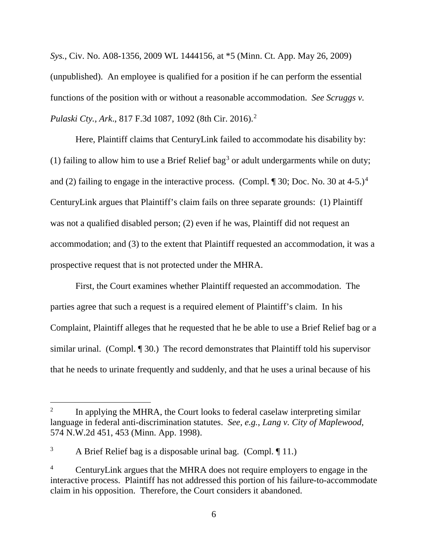*Sys.*, Civ. No. A08-1356, 2009 WL 1444156, at \*5 (Minn. Ct. App. May 26, 2009) (unpublished). An employee is qualified for a position if he can perform the essential functions of the position with or without a reasonable accommodation. *See Scruggs v. Pulaski Cty., Ark*., 817 F.3d 1087, 1092 (8th Cir. 2016). 2

Here, Plaintiff claims that CenturyLink failed to accommodate his disability by: (1) failing to allow him to use a Brief Relief bag<sup>3</sup> or adult undergarments while on duty; and (2) failing to engage in the interactive process. (Compl.  $\parallel$  30; Doc. No. 30 at 4-5.)<sup>4</sup> CenturyLink argues that Plaintiff's claim fails on three separate grounds: (1) Plaintiff was not a qualified disabled person; (2) even if he was, Plaintiff did not request an accommodation; and (3) to the extent that Plaintiff requested an accommodation, it was a prospective request that is not protected under the MHRA.

First, the Court examines whether Plaintiff requested an accommodation. The parties agree that such a request is a required element of Plaintiff's claim. In his Complaint, Plaintiff alleges that he requested that he be able to use a Brief Relief bag or a similar urinal. (Compl. ¶ 30.) The record demonstrates that Plaintiff told his supervisor that he needs to urinate frequently and suddenly, and that he uses a urinal because of his

In applying the MHRA, the Court looks to federal caselaw interpreting similar language in federal anti-discrimination statutes. *See, e.g.*, *Lang v. City of Maplewood*, 574 N.W.2d 451, 453 (Minn. App. 1998).

<sup>&</sup>lt;sup>3</sup> A Brief Relief bag is a disposable urinal bag. (Compl.  $\P$  11.)

<sup>4</sup> CenturyLink argues that the MHRA does not require employers to engage in the interactive process. Plaintiff has not addressed this portion of his failure-to-accommodate claim in his opposition. Therefore, the Court considers it abandoned.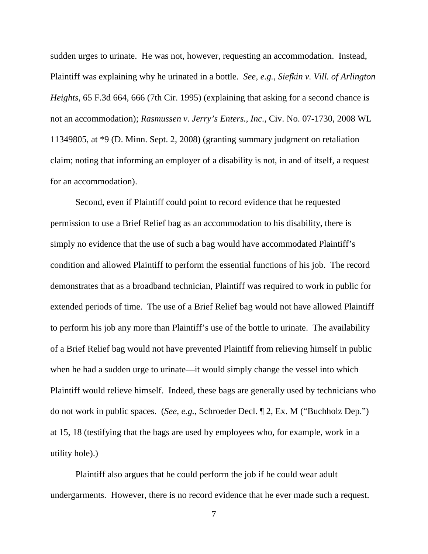sudden urges to urinate. He was not, however, requesting an accommodation. Instead, Plaintiff was explaining why he urinated in a bottle. *See, e.g.*, *Siefkin v. Vill. of Arlington Heights*, 65 F.3d 664, 666 (7th Cir. 1995) (explaining that asking for a second chance is not an accommodation); *Rasmussen v. Jerry's Enters., Inc.*, Civ. No. 07-1730, 2008 WL 11349805, at \*9 (D. Minn. Sept. 2, 2008) (granting summary judgment on retaliation claim; noting that informing an employer of a disability is not, in and of itself, a request for an accommodation).

Second, even if Plaintiff could point to record evidence that he requested permission to use a Brief Relief bag as an accommodation to his disability, there is simply no evidence that the use of such a bag would have accommodated Plaintiff's condition and allowed Plaintiff to perform the essential functions of his job. The record demonstrates that as a broadband technician, Plaintiff was required to work in public for extended periods of time. The use of a Brief Relief bag would not have allowed Plaintiff to perform his job any more than Plaintiff's use of the bottle to urinate. The availability of a Brief Relief bag would not have prevented Plaintiff from relieving himself in public when he had a sudden urge to urinate—it would simply change the vessel into which Plaintiff would relieve himself. Indeed, these bags are generally used by technicians who do not work in public spaces. (*See, e.g.*, Schroeder Decl. ¶ 2, Ex. M ("Buchholz Dep.") at 15, 18 (testifying that the bags are used by employees who, for example, work in a utility hole).)

Plaintiff also argues that he could perform the job if he could wear adult undergarments. However, there is no record evidence that he ever made such a request.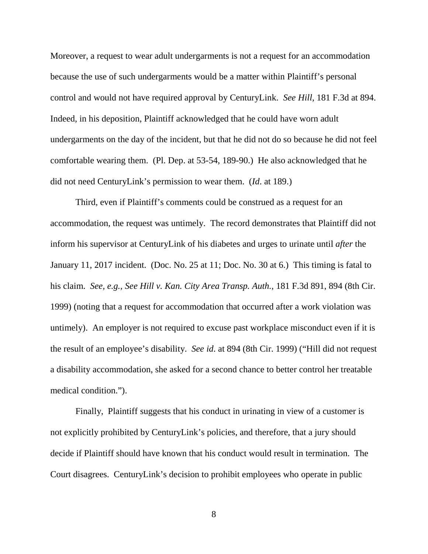Moreover, a request to wear adult undergarments is not a request for an accommodation because the use of such undergarments would be a matter within Plaintiff's personal control and would not have required approval by CenturyLink. *See Hill*, 181 F.3d at 894. Indeed, in his deposition, Plaintiff acknowledged that he could have worn adult undergarments on the day of the incident, but that he did not do so because he did not feel comfortable wearing them. (Pl. Dep. at 53-54, 189-90.) He also acknowledged that he did not need CenturyLink's permission to wear them. (*Id*. at 189.)

Third, even if Plaintiff's comments could be construed as a request for an accommodation, the request was untimely. The record demonstrates that Plaintiff did not inform his supervisor at CenturyLink of his diabetes and urges to urinate until *after* the January 11, 2017 incident. (Doc. No. 25 at 11; Doc. No. 30 at 6.) This timing is fatal to his claim. *See, e.g.*, *See Hill v. Kan. City Area Transp. Auth.*, 181 F.3d 891, 894 (8th Cir. 1999) (noting that a request for accommodation that occurred after a work violation was untimely). An employer is not required to excuse past workplace misconduct even if it is the result of an employee's disability. *See id*. at 894 (8th Cir. 1999) ("Hill did not request a disability accommodation, she asked for a second chance to better control her treatable medical condition.").

Finally, Plaintiff suggests that his conduct in urinating in view of a customer is not explicitly prohibited by CenturyLink's policies, and therefore, that a jury should decide if Plaintiff should have known that his conduct would result in termination. The Court disagrees. CenturyLink's decision to prohibit employees who operate in public